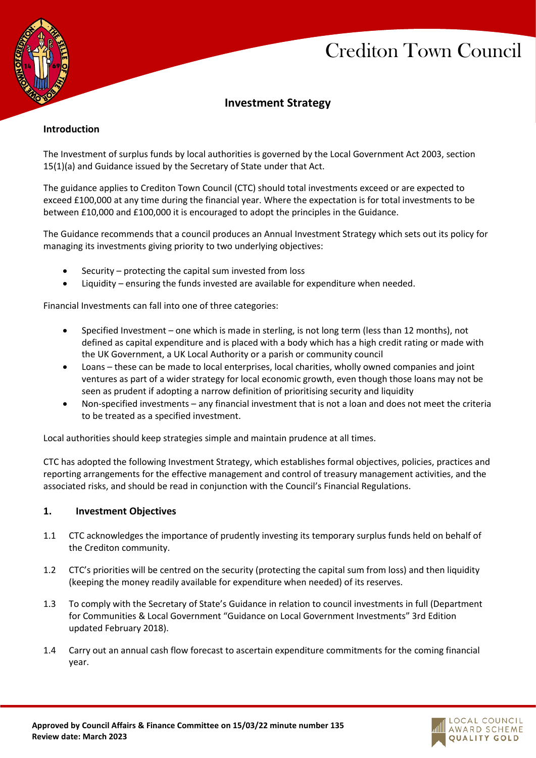# Crediton Town Council



## **Investment Strategy**

#### **Introduction**

The Investment of surplus funds by local authorities is governed by the Local Government Act 2003, section 15(1)(a) and Guidance issued by the Secretary of State under that Act.

The guidance applies to Crediton Town Council (CTC) should total investments exceed or are expected to exceed £100,000 at any time during the financial year. Where the expectation is for total investments to be between £10,000 and £100,000 it is encouraged to adopt the principles in the Guidance.

The Guidance recommends that a council produces an Annual Investment Strategy which sets out its policy for managing its investments giving priority to two underlying objectives:

- Security protecting the capital sum invested from loss
- Liquidity ensuring the funds invested are available for expenditure when needed.

Financial Investments can fall into one of three categories:

- Specified Investment one which is made in sterling, is not long term (less than 12 months), not defined as capital expenditure and is placed with a body which has a high credit rating or made with the UK Government, a UK Local Authority or a parish or community council
- Loans these can be made to local enterprises, local charities, wholly owned companies and joint ventures as part of a wider strategy for local economic growth, even though those loans may not be seen as prudent if adopting a narrow definition of prioritising security and liquidity
- Non-specified investments any financial investment that is not a loan and does not meet the criteria to be treated as a specified investment.

Local authorities should keep strategies simple and maintain prudence at all times.

CTC has adopted the following Investment Strategy, which establishes formal objectives, policies, practices and reporting arrangements for the effective management and control of treasury management activities, and the associated risks, and should be read in conjunction with the Council's Financial Regulations.

#### **1. Investment Objectives**

- 1.1 CTC acknowledges the importance of prudently investing its temporary surplus funds held on behalf of the Crediton community.
- 1.2 CTC's priorities will be centred on the security (protecting the capital sum from loss) and then liquidity (keeping the money readily available for expenditure when needed) of its reserves.
- 1.3 To comply with the Secretary of State's Guidance in relation to council investments in full (Department for Communities & Local Government "Guidance on Local Government Investments" 3rd Edition updated February 2018).
- 1.4 Carry out an annual cash flow forecast to ascertain expenditure commitments for the coming financial year.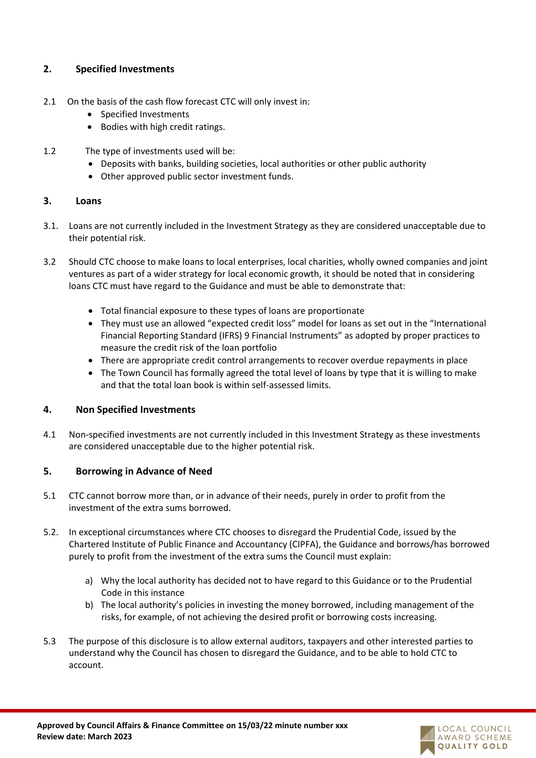## **2. Specified Investments**

- 2.1 On the basis of the cash flow forecast CTC will only invest in:
	- Specified Investments
	- Bodies with high credit ratings.
- 1.2 The type of investments used will be:
	- Deposits with banks, building societies, local authorities or other public authority
	- Other approved public sector investment funds.

#### **3. Loans**

- 3.1. Loans are not currently included in the Investment Strategy as they are considered unacceptable due to their potential risk.
- 3.2 Should CTC choose to make loans to local enterprises, local charities, wholly owned companies and joint ventures as part of a wider strategy for local economic growth, it should be noted that in considering loans CTC must have regard to the Guidance and must be able to demonstrate that:
	- Total financial exposure to these types of loans are proportionate
	- They must use an allowed "expected credit loss" model for loans as set out in the "International Financial Reporting Standard (IFRS) 9 Financial Instruments" as adopted by proper practices to measure the credit risk of the loan portfolio
	- There are appropriate credit control arrangements to recover overdue repayments in place
	- The Town Council has formally agreed the total level of loans by type that it is willing to make and that the total loan book is within self-assessed limits.

## **4. Non Specified Investments**

4.1 Non-specified investments are not currently included in this Investment Strategy as these investments are considered unacceptable due to the higher potential risk.

## **5. Borrowing in Advance of Need**

- 5.1 CTC cannot borrow more than, or in advance of their needs, purely in order to profit from the investment of the extra sums borrowed.
- 5.2. In exceptional circumstances where CTC chooses to disregard the Prudential Code, issued by the Chartered Institute of Public Finance and Accountancy (CIPFA), the Guidance and borrows/has borrowed purely to profit from the investment of the extra sums the Council must explain:
	- a) Why the local authority has decided not to have regard to this Guidance or to the Prudential Code in this instance
	- b) The local authority's policies in investing the money borrowed, including management of the risks, for example, of not achieving the desired profit or borrowing costs increasing.
- 5.3 The purpose of this disclosure is to allow external auditors, taxpayers and other interested parties to understand why the Council has chosen to disregard the Guidance, and to be able to hold CTC to account.